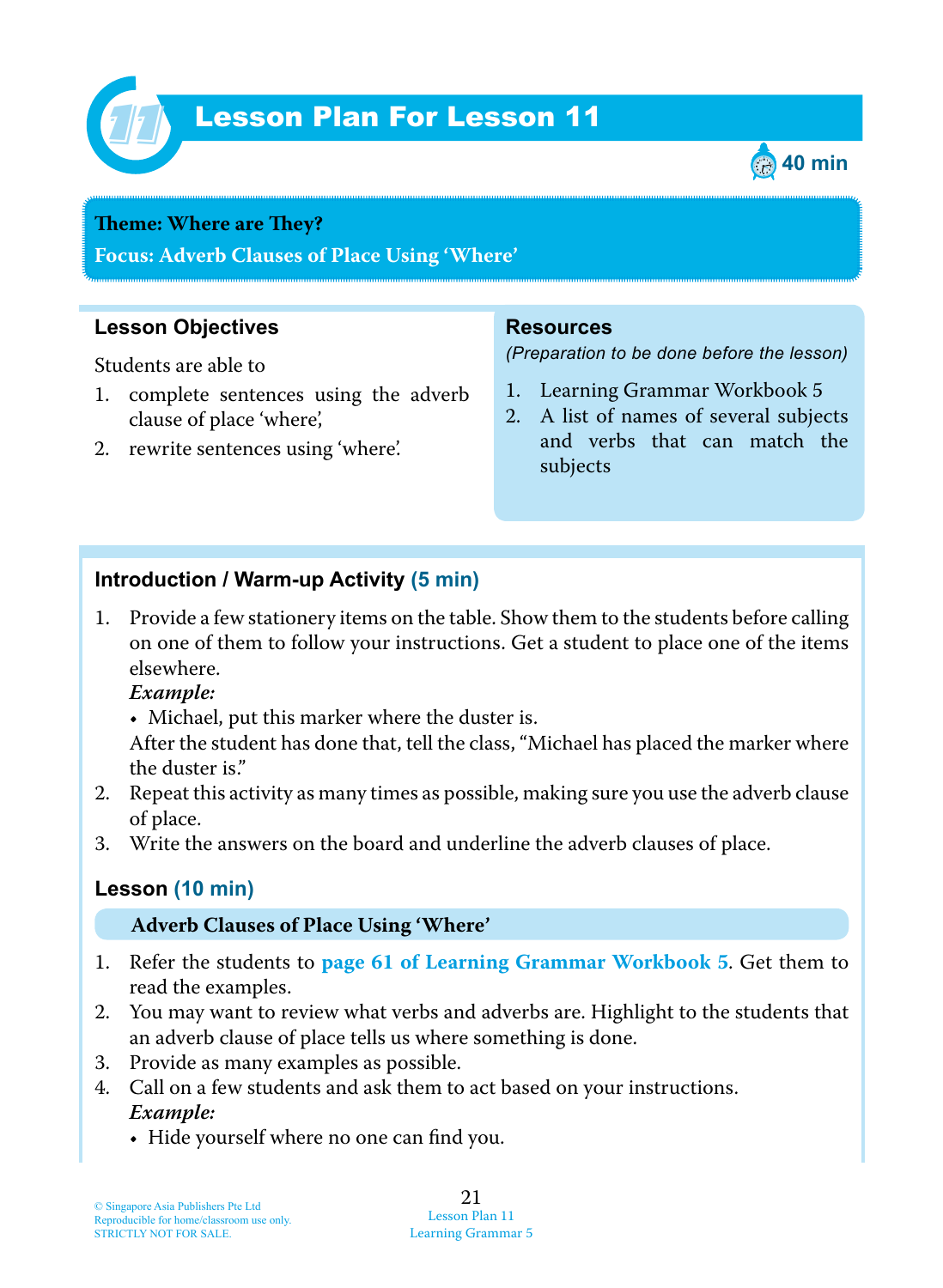

# Lesson Plan For Lesson 11 *11*



#### **Theme: Where** are **They?**

**Focus: Adverb Clauses of Place Using 'Where'**

## **Lesson Objectives**

Students are able to

- 1. complete sentences using the adverb clause of place 'where',
- 2. rewrite sentences using 'where'.

#### **Resources**

*(Preparation to be done before the lesson)*

- 1. Learning Grammar Workbook 5
- 2. A list of names of several subjects and verbs that can match the subjects

#### **Introduction / Warm-up Activity (5 min)**

1. Provide a few stationery items on the table. Show them to the students before calling on one of them to follow your instructions. Get a student to place one of the items elsewhere.

 *Example:*

• Michael, put this marker where the duster is.

After the student has done that, tell the class, "Michael has placed the marker where the duster is."

- 2. Repeat this activity as many times as possible, making sure you use the adverb clause of place.
- 3. Write the answers on the board and underline the adverb clauses of place.

## **Lesson (10 min)**

#### **Adverb Clauses of Place Using 'Where'**

- 1. Refer the students to **page 61 of Learning Grammar Workbook 5** . Get them to read the examples.
- 2. You may want to review what verbs and adverbs are. Highlight to the students that an adverb clause of place tells us where something is done.
- 3. Provide as many examples as possible.
- 4. Call on a few students and ask them to act based on your instructions.  *Example:*
	- Hide yourself where no one can find you.